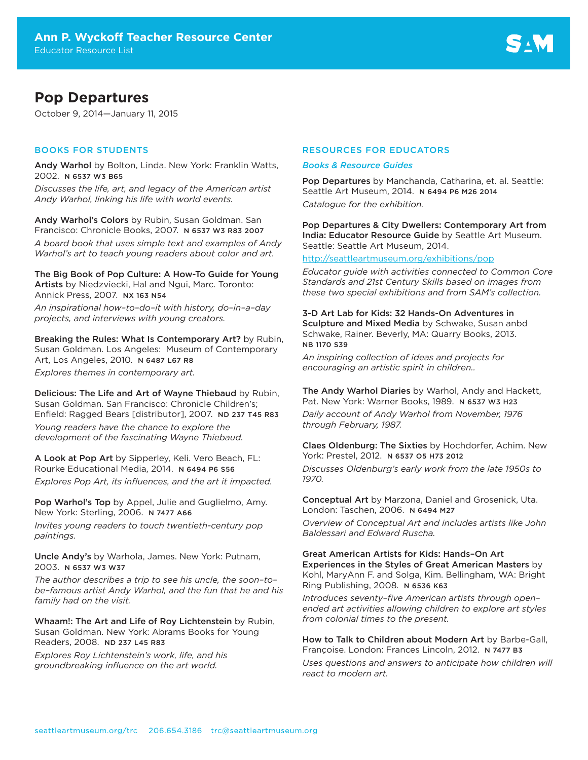# **Pop Departures**

October 9, 2014—January 11, 2015

# BOOKS FOR STUDENTS

Andy Warhol by Bolton, Linda. New York: Franklin Watts, 2002. N 6537 W3 B65

*Discusses the life, art, and legacy of the American artist Andy Warhol, linking his life with world events.*

Andy Warhol's Colors by Rubin, Susan Goldman. San Francisco: Chronicle Books, 2007. N 6537 W3 R83 2007

*A board book that uses simple text and examples of Andy Warhol's art to teach young readers about color and art.*

The Big Book of Pop Culture: A How-To Guide for Young Artists by Niedzviecki, Hal and Ngui, Marc. Toronto: Annick Press, 2007. NX 163 N54

*An inspirational how–to–do–it with history, do–in–a–day projects, and interviews with young creators.*

Breaking the Rules: What Is Contemporary Art? by Rubin, Susan Goldman. Los Angeles: Museum of Contemporary Art, Los Angeles, 2010. N 6487 L67 R8

*Explores themes in contemporary art.* 

Delicious: The Life and Art of Wayne Thiebaud by Rubin, Susan Goldman. San Francisco: Chronicle Children's; Enfield: Ragged Bears [distributor], 2007. ND 237 T45 R83

*Young readers have the chance to explore the development of the fascinating Wayne Thiebaud.* 

A Look at Pop Art by Sipperley, Keli. Vero Beach, FL: Rourke Educational Media, 2014. N 6494 P6 S56 *Explores Pop Art, its influences, and the art it impacted.* 

Pop Warhol's Top by Appel, Julie and Guglielmo, Amy. New York: Sterling, 2006. N 7477 A66

*Invites young readers to touch twentieth-century pop paintings.*

Uncle Andy's by Warhola, James. New York: Putnam, 2003. N 6537 W3 W37

*The author describes a trip to see his uncle, the soon–to– be–famous artist Andy Warhol, and the fun that he and his family had on the visit.*

Whaam!: The Art and Life of Roy Lichtenstein by Rubin, Susan Goldman. New York: Abrams Books for Young Readers, 2008. ND 237 L45 R83

*Explores Roy Lichtenstein's work, life, and his groundbreaking influence on the art world.* 

# RESOURCES FOR EDUCATORS

#### *Books & Resource Guides*

Pop Departures by Manchanda, Catharina, et. al. Seattle: Seattle Art Museum, 2014. N 6494 P6 M26 2014 *Catalogue for the exhibition.* 

Pop Departures & City Dwellers: Contemporary Art from India: Educator Resource Guide by Seattle Art Museum. Seattle: Seattle Art Museum, 2014.

# <http://seattleartmuseum.org/exhibitions/pop>

*Educator guide with activities connected to Common Core Standards and 21st Century Skills based on images from these two special exhibitions and from SAM's collection.*

3-D Art Lab for Kids: 32 Hands-On Adventures in Sculpture and Mixed Media by Schwake, Susan anbd Schwake, Rainer. Beverly, MA: Quarry Books, 2013. NB 1170 S39

*An inspiring collection of ideas and projects for encouraging an artistic spirit in children..*

The Andy Warhol Diaries by Warhol, Andy and Hackett, Pat. New York: Warner Books, 1989. N 6537 W3 H23 *Daily account of Andy Warhol from November, 1976 through February, 1987.*

Claes Oldenburg: The Sixties by Hochdorfer, Achim. New York: Prestel, 2012. N 6537 O5 H73 2012

*Discusses Oldenburg's early work from the late 1950s to 1970.*

Conceptual Art by Marzona, Daniel and Grosenick, Uta. London: Taschen, 2006. N 6494 M27

*Overview of Conceptual Art and includes artists like John Baldessari and Edward Ruscha.*

#### Great American Artists for Kids: Hands–On Art Experiences in the Styles of Great American Masters by Kohl, MaryAnn F. and Solga, Kim. Bellingham, WA: Bright Ring Publishing, 2008. N 6536 K63

*Introduces seventy–five American artists through open– ended art activities allowing children to explore art styles from colonial times to the present.* 

# How to Talk to Children about Modern Art by Barbe-Gall, Françoise. London: Frances Lincoln, 2012. N 7477 B3

*Uses questions and answers to anticipate how children will react to modern art.*